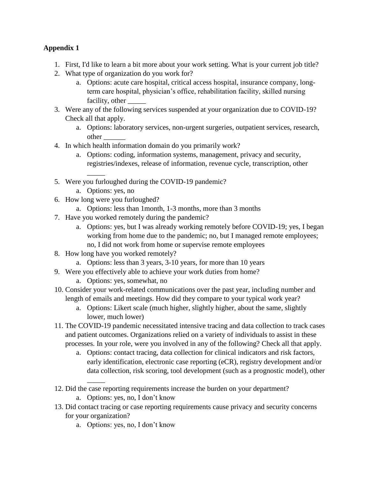## **Appendix 1**

- 1. First, I'd like to learn a bit more about your work setting. What is your current job title?
- 2. What type of organization do you work for?
	- a. Options: acute care hospital, critical access hospital, insurance company, longterm care hospital, physician's office, rehabilitation facility, skilled nursing facility, other  $\_\_$
- 3. Were any of the following services suspended at your organization due to COVID-19? Check all that apply.
	- a. Options: laboratory services, non-urgent surgeries, outpatient services, research, other \_\_\_\_\_\_
- 4. In which health information domain do you primarily work?
	- a. Options: coding, information systems, management, privacy and security, registries/indexes, release of information, revenue cycle, transcription, other
- 5. Were you furloughed during the COVID-19 pandemic?
	- a. Options: yes, no

\_\_\_\_\_

- 6. How long were you furloughed?
	- a. Options: less than 1month, 1-3 months, more than 3 months
- 7. Have you worked remotely during the pandemic?
	- a. Options: yes, but I was already working remotely before COVID-19; yes, I began working from home due to the pandemic; no, but I managed remote employees; no, I did not work from home or supervise remote employees
- 8. How long have you worked remotely?
	- a. Options: less than 3 years, 3-10 years, for more than 10 years
- 9. Were you effectively able to achieve your work duties from home?
	- a. Options: yes, somewhat, no
- 10. Consider your work-related communications over the past year, including number and length of emails and meetings. How did they compare to your typical work year?
	- a. Options: Likert scale (much higher, slightly higher, about the same, slightly lower, much lower)
- 11. The COVID-19 pandemic necessitated intensive tracing and data collection to track cases and patient outcomes. Organizations relied on a variety of individuals to assist in these processes. In your role, were you involved in any of the following? Check all that apply.
	- a. Options: contact tracing, data collection for clinical indicators and risk factors, early identification, electronic case reporting (eCR), registry development and/or data collection, risk scoring, tool development (such as a prognostic model), other
- 12. Did the case reporting requirements increase the burden on your department? a. Options: yes, no, I don't know
- 13. Did contact tracing or case reporting requirements cause privacy and security concerns for your organization?
	- a. Options: yes, no, I don't know

 $\overline{\phantom{a}}$